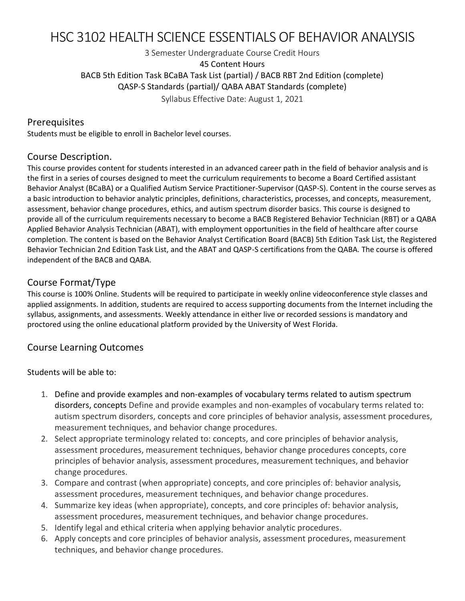# HSC 3102 HEALTH SCIENCE ESSENTIALS OF BEHAVIOR ANALYSIS

3 Semester Undergraduate Course Credit Hours 45 Content Hours BACB 5th Edition Task BCaBA Task List (partial) / BACB RBT 2nd Edition (complete) QASP-S Standards (partial)/ QABA ABAT Standards (complete)

Syllabus Effective Date: August 1, 2021

### Prerequisites

Students must be eligible to enroll in Bachelor level courses.

## Course Description.

This course provides content for students interested in an advanced career path in the field of behavior analysis and is the first in a series of courses designed to meet the curriculum requirements to become a Board Certified assistant Behavior Analyst (BCaBA) or a Qualified Autism Service Practitioner-Supervisor (QASP-S). Content in the course serves as a basic introduction to behavior analytic principles, definitions, characteristics, processes, and concepts, measurement, assessment, behavior change procedures, ethics, and autism spectrum disorder basics. This course is designed to provide all of the curriculum requirements necessary to become a BACB Registered Behavior Technician (RBT) or a QABA Applied Behavior Analysis Technician (ABAT), with employment opportunities in the field of healthcare after course completion. The content is based on the Behavior Analyst Certification Board (BACB) 5th Edition Task List, the Registered Behavior Technician 2nd Edition Task List, and the ABAT and QASP-S certifications from the QABA. The course is offered independent of the BACB and QABA.

## Course Format/Type

This course is 100% Online. Students will be required to participate in weekly online videoconference style classes and applied assignments. In addition, students are required to access supporting documents from the Internet including the syllabus, assignments, and assessments. Weekly attendance in either live or recorded sessions is mandatory and proctored using the online educational platform provided by the University of West Florida.

## Course Learning Outcomes

Students will be able to:

- 1. Define and provide examples and non-examples of vocabulary terms related to autism spectrum disorders, concepts Define and provide examples and non-examples of vocabulary terms related to: autism spectrum disorders, concepts and core principles of behavior analysis, assessment procedures, measurement techniques, and behavior change procedures.
- 2. Select appropriate terminology related to: concepts, and core principles of behavior analysis, assessment procedures, measurement techniques, behavior change procedures concepts, core principles of behavior analysis, assessment procedures, measurement techniques, and behavior change procedures.
- 3. Compare and contrast (when appropriate) concepts, and core principles of: behavior analysis, assessment procedures, measurement techniques, and behavior change procedures.
- 4. Summarize key ideas (when appropriate), concepts, and core principles of: behavior analysis, assessment procedures, measurement techniques, and behavior change procedures.
- 5. Identify legal and ethical criteria when applying behavior analytic procedures.
- 6. Apply concepts and core principles of behavior analysis, assessment procedures, measurement techniques, and behavior change procedures.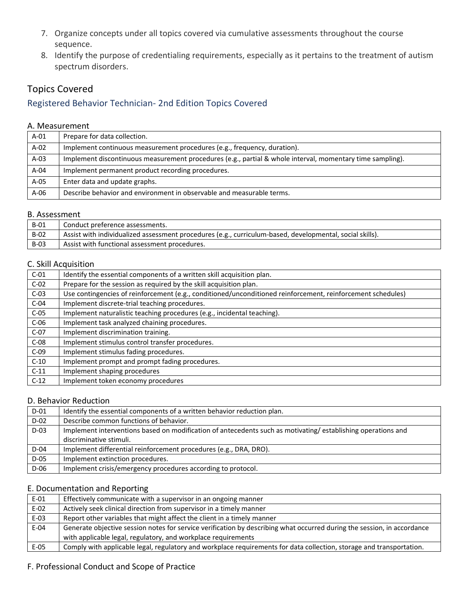- 7. Organize concepts under all topics covered via cumulative assessments throughout the course sequence.
- 8. Identify the purpose of credentialing requirements, especially as it pertains to the treatment of autism spectrum disorders.

## Topics Covered

## Registered Behavior Technician- 2nd Edition Topics Covered

#### A. Measurement

| $A-01$ | Prepare for data collection.                                                                              |
|--------|-----------------------------------------------------------------------------------------------------------|
| $A-02$ | Implement continuous measurement procedures (e.g., frequency, duration).                                  |
| $A-03$ | Implement discontinuous measurement procedures (e.g., partial & whole interval, momentary time sampling). |
| $A-04$ | Implement permanent product recording procedures.                                                         |
| $A-05$ | Enter data and update graphs.                                                                             |
| $A-06$ | Describe behavior and environment in observable and measurable terms.                                     |

#### B. Assessment

| <b>B-01</b> | Conduct preference assessments.                                                                          |
|-------------|----------------------------------------------------------------------------------------------------------|
| $B-02$      | Assist with individualized assessment procedures (e.g., curriculum-based, developmental, social skills). |
| <b>B-03</b> | Assist with functional assessment procedures.                                                            |

### C. Skill Acquisition

| $C-01$ | Identify the essential components of a written skill acquisition plan.                                      |
|--------|-------------------------------------------------------------------------------------------------------------|
| $C-02$ | Prepare for the session as required by the skill acquisition plan.                                          |
| $C-03$ | Use contingencies of reinforcement (e.g., conditioned/unconditioned reinforcement, reinforcement schedules) |
| $C-04$ | Implement discrete-trial teaching procedures.                                                               |
| $C-05$ | Implement naturalistic teaching procedures (e.g., incidental teaching).                                     |
| $C-06$ | Implement task analyzed chaining procedures.                                                                |
| $C-07$ | Implement discrimination training.                                                                          |
| $C-08$ | Implement stimulus control transfer procedures.                                                             |
| $C-09$ | Implement stimulus fading procedures.                                                                       |
| $C-10$ | Implement prompt and prompt fading procedures.                                                              |
| $C-11$ | Implement shaping procedures                                                                                |
| $C-12$ | Implement token economy procedures                                                                          |

### D. Behavior Reduction

| $D-01$ | Identify the essential components of a written behavior reduction plan.                                     |
|--------|-------------------------------------------------------------------------------------------------------------|
| $D-02$ | Describe common functions of behavior.                                                                      |
| $D-03$ | Implement interventions based on modification of antecedents such as motivating/establishing operations and |
|        | discriminative stimuli.                                                                                     |
| $D-04$ | Implement differential reinforcement procedures (e.g., DRA, DRO).                                           |
| D-05   | Implement extinction procedures.                                                                            |
| D-06   | Implement crisis/emergency procedures according to protocol.                                                |

### E. Documentation and Reporting

| $E-01$ | Effectively communicate with a supervisor in an ongoing manner                                                          |
|--------|-------------------------------------------------------------------------------------------------------------------------|
| $E-02$ | Actively seek clinical direction from supervisor in a timely manner                                                     |
| $E-03$ | Report other variables that might affect the client in a timely manner                                                  |
| $E-04$ | Generate objective session notes for service verification by describing what occurred during the session, in accordance |
|        | with applicable legal, regulatory, and workplace requirements                                                           |
| $E-05$ | Comply with applicable legal, regulatory and workplace requirements for data collection, storage and transportation.    |

#### F. Professional Conduct and Scope of Practice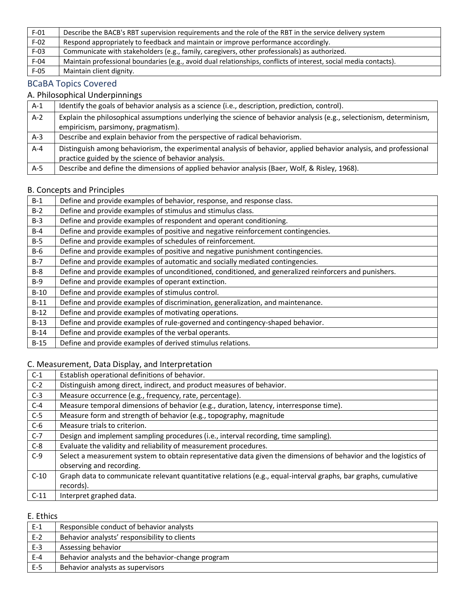| $F-01$ | Describe the BACB's RBT supervision requirements and the role of the RBT in the service delivery system          |
|--------|------------------------------------------------------------------------------------------------------------------|
| $F-02$ | Respond appropriately to feedback and maintain or improve performance accordingly.                               |
| $F-03$ | Communicate with stakeholders (e.g., family, caregivers, other professionals) as authorized.                     |
| $F-04$ | Maintain professional boundaries (e.g., avoid dual relationships, conflicts of interest, social media contacts). |
| $F-05$ | Maintain client dignity.                                                                                         |

## BCaBA Topics Covered

## A. Philosophical Underpinnings

| $A-1$   | Identify the goals of behavior analysis as a science (i.e., description, prediction, control).                      |
|---------|---------------------------------------------------------------------------------------------------------------------|
|         |                                                                                                                     |
| $A-2$   | Explain the philosophical assumptions underlying the science of behavior analysis (e.g., selectionism, determinism, |
|         | empiricism, parsimony, pragmatism).                                                                                 |
| $A-3$   | Describe and explain behavior from the perspective of radical behaviorism.                                          |
| $A - 4$ | Distinguish among behaviorism, the experimental analysis of behavior, applied behavior analysis, and professional   |
|         | practice guided by the science of behavior analysis.                                                                |
| A-5     | Describe and define the dimensions of applied behavior analysis (Baer, Wolf, & Risley, 1968).                       |

### B. Concepts and Principles

| $B-1$  | Define and provide examples of behavior, response, and response class.                                |
|--------|-------------------------------------------------------------------------------------------------------|
| $B-2$  | Define and provide examples of stimulus and stimulus class.                                           |
| $B-3$  | Define and provide examples of respondent and operant conditioning.                                   |
| $B-4$  | Define and provide examples of positive and negative reinforcement contingencies.                     |
| $B-5$  | Define and provide examples of schedules of reinforcement.                                            |
| B-6    | Define and provide examples of positive and negative punishment contingencies.                        |
| $B-7$  | Define and provide examples of automatic and socially mediated contingencies.                         |
| $B-8$  | Define and provide examples of unconditioned, conditioned, and generalized reinforcers and punishers. |
| $B-9$  | Define and provide examples of operant extinction.                                                    |
| $B-10$ | Define and provide examples of stimulus control.                                                      |
| $B-11$ | Define and provide examples of discrimination, generalization, and maintenance.                       |
| $B-12$ | Define and provide examples of motivating operations.                                                 |
| $B-13$ | Define and provide examples of rule-governed and contingency-shaped behavior.                         |
| $B-14$ | Define and provide examples of the verbal operants.                                                   |
| $B-15$ | Define and provide examples of derived stimulus relations.                                            |
|        |                                                                                                       |

## C. Measurement, Data Display, and Interpretation

| $C-1$  | Establish operational definitions of behavior.                                                                  |
|--------|-----------------------------------------------------------------------------------------------------------------|
| $C-2$  | Distinguish among direct, indirect, and product measures of behavior.                                           |
| $C-3$  | Measure occurrence (e.g., frequency, rate, percentage).                                                         |
| $C-4$  | Measure temporal dimensions of behavior (e.g., duration, latency, interresponse time).                          |
| $C-5$  | Measure form and strength of behavior (e.g., topography, magnitude                                              |
| $C-6$  | Measure trials to criterion.                                                                                    |
| $C-7$  | Design and implement sampling procedures (i.e., interval recording, time sampling).                             |
| $C-8$  | Evaluate the validity and reliability of measurement procedures.                                                |
| $C-9$  | Select a measurement system to obtain representative data given the dimensions of behavior and the logistics of |
|        | observing and recording.                                                                                        |
| $C-10$ | Graph data to communicate relevant quantitative relations (e.g., equal-interval graphs, bar graphs, cumulative  |
|        | records).                                                                                                       |
| $C-11$ | Interpret graphed data.                                                                                         |

E. Ethics

| $E-1$ | Responsible conduct of behavior analysts          |  |
|-------|---------------------------------------------------|--|
| $E-2$ | Behavior analysts' responsibility to clients      |  |
| $E-3$ | Assessing behavior                                |  |
| $E-4$ | Behavior analysts and the behavior-change program |  |
| $E-5$ | Behavior analysts as supervisors                  |  |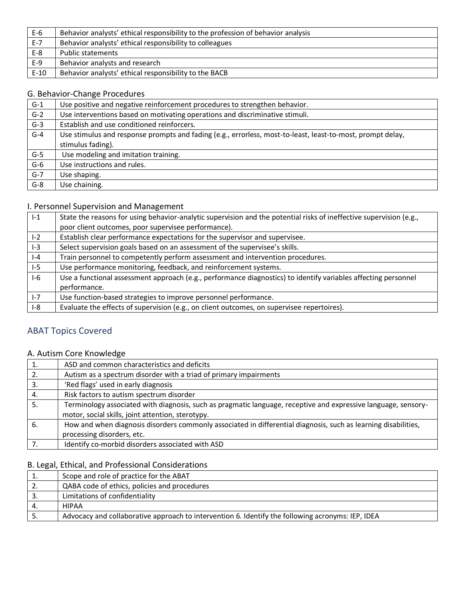| $E-6$   | Behavior analysts' ethical responsibility to the profession of behavior analysis |
|---------|----------------------------------------------------------------------------------|
| $E - 7$ | Behavior analysts' ethical responsibility to colleagues                          |
| $E-8$   | Public statements                                                                |
| $E-9$   | Behavior analysts and research                                                   |
| $E-10$  | Behavior analysts' ethical responsibility to the BACB                            |

### G. Behavior-Change Procedures

| $G-1$ | Use positive and negative reinforcement procedures to strengthen behavior.                                                      |
|-------|---------------------------------------------------------------------------------------------------------------------------------|
| $G-2$ | Use interventions based on motivating operations and discriminative stimuli.                                                    |
| $G-3$ | Establish and use conditioned reinforcers.                                                                                      |
| $G-4$ | Use stimulus and response prompts and fading (e.g., errorless, most-to-least, least-to-most, prompt delay,<br>stimulus fading). |
| $G-5$ | Use modeling and imitation training.                                                                                            |
| $G-6$ | Use instructions and rules.                                                                                                     |
| $G-7$ | Use shaping.                                                                                                                    |
| $G-8$ | Use chaining.                                                                                                                   |

## I. Personnel Supervision and Management

| $1-1$   | State the reasons for using behavior-analytic supervision and the potential risks of ineffective supervision (e.g., |
|---------|---------------------------------------------------------------------------------------------------------------------|
|         | poor client outcomes, poor supervisee performance).                                                                 |
| $1-2$   | Establish clear performance expectations for the supervisor and supervisee.                                         |
| $I-3$   | Select supervision goals based on an assessment of the supervisee's skills.                                         |
| $ -4$   | Train personnel to competently perform assessment and intervention procedures.                                      |
| $1-5$   | Use performance monitoring, feedback, and reinforcement systems.                                                    |
| $I-6$   | Use a functional assessment approach (e.g., performance diagnostics) to identify variables affecting personnel      |
|         | performance.                                                                                                        |
| $I - 7$ | Use function-based strategies to improve personnel performance.                                                     |
| $1-8$   | Evaluate the effects of supervision (e.g., on client outcomes, on supervisee repertoires).                          |

## ABAT Topics Covered

### A. Autism Core Knowledge

|    | ASD and common characteristics and deficits                                                                    |
|----|----------------------------------------------------------------------------------------------------------------|
|    | Autism as a spectrum disorder with a triad of primary impairments                                              |
| 3. | 'Red flags' used in early diagnosis                                                                            |
| 4. | Risk factors to autism spectrum disorder                                                                       |
|    | Terminology associated with diagnosis, such as pragmatic language, receptive and expressive language, sensory- |
|    | motor, social skills, joint attention, sterotypy.                                                              |
| 6. | How and when diagnosis disorders commonly associated in differential diagnosis, such as learning disabilities, |
|    | processing disorders, etc.                                                                                     |
|    | Identify co-morbid disorders associated with ASD                                                               |

## B. Legal, Ethical, and Professional Considerations

| <b>.</b>  | Scope and role of practice for the ABAT                                                           |
|-----------|---------------------------------------------------------------------------------------------------|
| <u>L.</u> | QABA code of ethics, policies and procedures                                                      |
|           | Limitations of confidentiality                                                                    |
|           | <b>HIPAA</b>                                                                                      |
|           | Advocacy and collaborative approach to intervention 6. Identify the following acronyms: IEP, IDEA |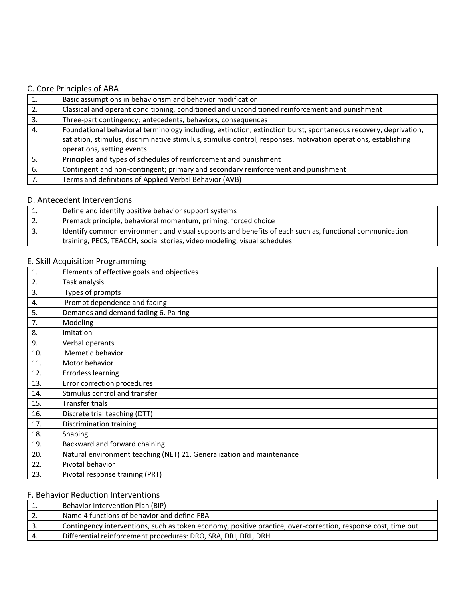### C. Core Principles of ABA

|    | Basic assumptions in behaviorism and behavior modification                                                      |
|----|-----------------------------------------------------------------------------------------------------------------|
|    | Classical and operant conditioning, conditioned and unconditioned reinforcement and punishment                  |
| 3. | Three-part contingency; antecedents, behaviors, consequences                                                    |
| 4. | Foundational behavioral terminology including, extinction, extinction burst, spontaneous recovery, deprivation, |
|    | satiation, stimulus, discriminative stimulus, stimulus control, responses, motivation operations, establishing  |
|    | operations, setting events                                                                                      |
| 5. | Principles and types of schedules of reinforcement and punishment                                               |
| 6. | Contingent and non-contingent; primary and secondary reinforcement and punishment                               |
|    | Terms and definitions of Applied Verbal Behavior (AVB)                                                          |

### D. Antecedent Interventions

| 1.            | Define and identify positive behavior support systems                                                  |
|---------------|--------------------------------------------------------------------------------------------------------|
| $^{\circ}$ 2. | Premack principle, behavioral momentum, priming, forced choice                                         |
| -3.           | Identify common environment and visual supports and benefits of each such as, functional communication |
|               | training, PECS, TEACCH, social stories, video modeling, visual schedules                               |

### E. Skill Acquisition Programming

| 1.  | Elements of effective goals and objectives                            |
|-----|-----------------------------------------------------------------------|
| 2.  | Task analysis                                                         |
| 3.  | Types of prompts                                                      |
| 4.  | Prompt dependence and fading                                          |
| 5.  | Demands and demand fading 6. Pairing                                  |
| 7.  | Modeling                                                              |
| 8.  | Imitation                                                             |
| 9.  | Verbal operants                                                       |
| 10. | Memetic behavior                                                      |
| 11. | Motor behavior                                                        |
| 12. | <b>Errorless learning</b>                                             |
| 13. | Error correction procedures                                           |
| 14. | Stimulus control and transfer                                         |
| 15. | Transfer trials                                                       |
| 16. | Discrete trial teaching (DTT)                                         |
| 17. | Discrimination training                                               |
| 18. | Shaping                                                               |
| 19. | Backward and forward chaining                                         |
| 20. | Natural environment teaching (NET) 21. Generalization and maintenance |
| 22. | Pivotal behavior                                                      |
| 23. | Pivotal response training (PRT)                                       |

### F. Behavior Reduction Interventions

|     | Behavior Intervention Plan (BIP)                                                                              |
|-----|---------------------------------------------------------------------------------------------------------------|
| ـ ـ | Name 4 functions of behavior and define FBA                                                                   |
| J.  | Contingency interventions, such as token economy, positive practice, over-correction, response cost, time out |
|     | Differential reinforcement procedures: DRO, SRA, DRI, DRL, DRH                                                |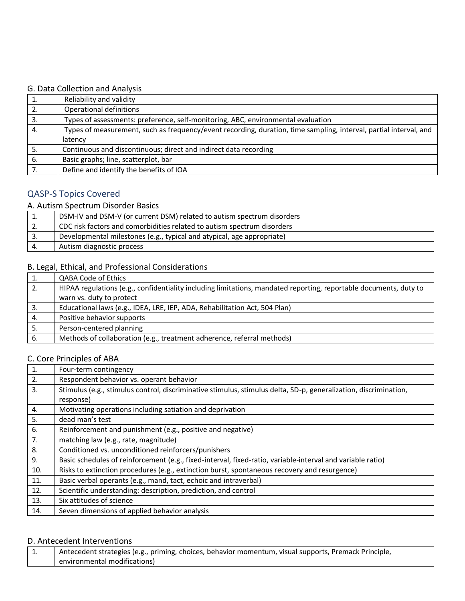## G. Data Collection and Analysis

| 1.  | Reliability and validity                                                                                          |
|-----|-------------------------------------------------------------------------------------------------------------------|
| 2.  | Operational definitions                                                                                           |
| 3.  | Types of assessments: preference, self-monitoring, ABC, environmental evaluation                                  |
| 4.  | Types of measurement, such as frequency/event recording, duration, time sampling, interval, partial interval, and |
|     | latency                                                                                                           |
|     | Continuous and discontinuous; direct and indirect data recording                                                  |
| -6. | Basic graphs; line, scatterplot, bar                                                                              |
|     | Define and identify the benefits of IOA                                                                           |

## QASP-S Topics Covered

### A. Autism Spectrum Disorder Basics

| . . | DSM-IV and DSM-V (or current DSM) related to autism spectrum disorders  |
|-----|-------------------------------------------------------------------------|
| z.  | CDC risk factors and comorbidities related to autism spectrum disorders |
| 3.  | Developmental milestones (e.g., typical and atypical, age appropriate)  |
|     | Autism diagnostic process                                               |

## B. Legal, Ethical, and Professional Considerations

| 1. | QABA Code of Ethics                                                                                               |
|----|-------------------------------------------------------------------------------------------------------------------|
| 2. | HIPAA regulations (e.g., confidentiality including limitations, mandated reporting, reportable documents, duty to |
|    | warn vs. duty to protect                                                                                          |
| 3. | Educational laws (e.g., IDEA, LRE, IEP, ADA, Rehabilitation Act, 504 Plan)                                        |
| 4. | Positive behavior supports                                                                                        |
| 5. | Person-centered planning                                                                                          |
| 6. | Methods of collaboration (e.g., treatment adherence, referral methods)                                            |

### C. Core Principles of ABA

| 1.  | Four-term contingency                                                                                            |
|-----|------------------------------------------------------------------------------------------------------------------|
| 2.  | Respondent behavior vs. operant behavior                                                                         |
| 3.  | Stimulus (e.g., stimulus control, discriminative stimulus, stimulus delta, SD-p, generalization, discrimination, |
|     | response)                                                                                                        |
| 4.  | Motivating operations including satiation and deprivation                                                        |
| 5.  | dead man's test                                                                                                  |
| 6.  | Reinforcement and punishment (e.g., positive and negative)                                                       |
| 7.  | matching law (e.g., rate, magnitude)                                                                             |
| 8.  | Conditioned vs. unconditioned reinforcers/punishers                                                              |
| 9.  | Basic schedules of reinforcement (e.g., fixed-interval, fixed-ratio, variable-interval and variable ratio)       |
| 10. | Risks to extinction procedures (e.g., extinction burst, spontaneous recovery and resurgence)                     |
| 11. | Basic verbal operants (e.g., mand, tact, echoic and intraverbal)                                                 |
| 12. | Scientific understanding: description, prediction, and control                                                   |
| 13. | Six attitudes of science                                                                                         |
| 14. | Seven dimensions of applied behavior analysis                                                                    |

### D. Antecedent Interventions

| Antecedent strategies (e.g., priming, choices, behavior momentum, visual supports, Premack Principle, |
|-------------------------------------------------------------------------------------------------------|
| environmental modifications)                                                                          |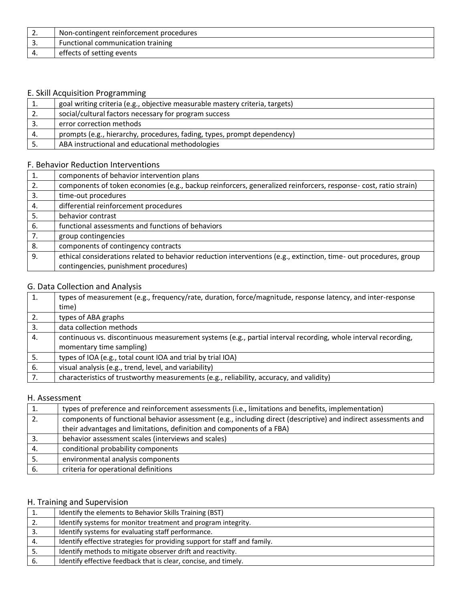| <u>.</u> | Non-contingent reinforcement procedures |
|----------|-----------------------------------------|
| <u>.</u> | Functional communication training       |
|          | effects of setting events               |

### E. Skill Acquisition Programming

|     | goal writing criteria (e.g., objective measurable mastery criteria, targets) |
|-----|------------------------------------------------------------------------------|
| ـ ـ | social/cultural factors necessary for program success                        |
|     | error correction methods                                                     |
|     | prompts (e.g., hierarchy, procedures, fading, types, prompt dependency)      |
|     | ABA instructional and educational methodologies                              |

## F. Behavior Reduction Interventions

| 1. | components of behavior intervention plans                                                                         |
|----|-------------------------------------------------------------------------------------------------------------------|
| 2. | components of token economies (e.g., backup reinforcers, generalized reinforcers, response- cost, ratio strain)   |
| 3. | time-out procedures                                                                                               |
| 4. | differential reinforcement procedures                                                                             |
| 5. | behavior contrast                                                                                                 |
| 6. | functional assessments and functions of behaviors                                                                 |
| 7. | group contingencies                                                                                               |
| 8. | components of contingency contracts                                                                               |
| 9. | ethical considerations related to behavior reduction interventions (e.g., extinction, time- out procedures, group |
|    | contingencies, punishment procedures)                                                                             |

## G. Data Collection and Analysis

| 1. | types of measurement (e.g., frequency/rate, duration, force/magnitude, response latency, and inter-response   |
|----|---------------------------------------------------------------------------------------------------------------|
|    | time)                                                                                                         |
| 2. | types of ABA graphs                                                                                           |
| 3. | data collection methods                                                                                       |
| 4. | continuous vs. discontinuous measurement systems (e.g., partial interval recording, whole interval recording, |
|    | momentary time sampling)                                                                                      |
| 5. | types of IOA (e.g., total count IOA and trial by trial IOA)                                                   |
| 6. | visual analysis (e.g., trend, level, and variability)                                                         |
| 7. | characteristics of trustworthy measurements (e.g., reliability, accuracy, and validity)                       |

### H. Assessment

| 1. | types of preference and reinforcement assessments (i.e., limitations and benefits, implementation)              |
|----|-----------------------------------------------------------------------------------------------------------------|
| 2. | components of functional behavior assessment (e.g., including direct (descriptive) and indirect assessments and |
|    | their advantages and limitations, definition and components of a FBA)                                           |
|    | behavior assessment scales (interviews and scales)                                                              |
| 4. | conditional probability components                                                                              |
|    | environmental analysis components                                                                               |
| 6. | criteria for operational definitions                                                                            |

### H. Training and Supervision

| <b>.</b> | Identify the elements to Behavior Skills Training (BST)                   |
|----------|---------------------------------------------------------------------------|
| 2.       | Identify systems for monitor treatment and program integrity.             |
| -3.      | Identify systems for evaluating staff performance.                        |
| 4.       | Identify effective strategies for providing support for staff and family. |
| -5.      | Identify methods to mitigate observer drift and reactivity.               |
| 6.       | Identify effective feedback that is clear, concise, and timely.           |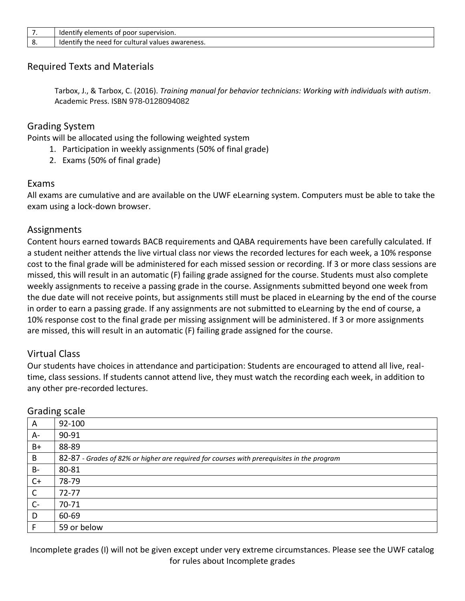| , . | poor<br>supervision. "<br>ldentify<br>' elements of                               |
|-----|-----------------------------------------------------------------------------------|
| ٥.  | ' cultural values<br>tor<br>Identify the<br>$\overline{\cdot}$ awareness.<br>need |

## Required Texts and Materials

Tarbox, J., & Tarbox, C. (2016). *Training manual for behavior technicians: Working with individuals with autism*. Academic Press. ISBN 978-0128094082

## Grading System

Points will be allocated using the following weighted system

- 1. Participation in weekly assignments (50% of final grade)
- 2. Exams (50% of final grade)

## Exams

All exams are cumulative and are available on the UWF eLearning system. Computers must be able to take the exam using a lock-down browser.

## **Assignments**

Content hours earned towards BACB requirements and QABA requirements have been carefully calculated. If a student neither attends the live virtual class nor views the recorded lectures for each week, a 10% response cost to the final grade will be administered for each missed session or recording. If 3 or more class sessions are missed, this will result in an automatic (F) failing grade assigned for the course. Students must also complete weekly assignments to receive a passing grade in the course. Assignments submitted beyond one week from the due date will not receive points, but assignments still must be placed in eLearning by the end of the course in order to earn a passing grade. If any assignments are not submitted to eLearning by the end of course, a 10% response cost to the final grade per missing assignment will be administered. If 3 or more assignments are missed, this will result in an automatic (F) failing grade assigned for the course.

## Virtual Class

Our students have choices in attendance and participation: Students are encouraged to attend all live, realtime, class sessions. If students cannot attend live, they must watch the recording each week, in addition to any other pre-recorded lectures.

| A            | 92-100                                                                                     |
|--------------|--------------------------------------------------------------------------------------------|
| $A -$        | 90-91                                                                                      |
| $B+$         | 88-89                                                                                      |
| B            | 82-87 - Grades of 82% or higher are required for courses with prerequisites in the program |
| <b>B-</b>    | 80-81                                                                                      |
| $C+$         | 78-79                                                                                      |
| $\mathsf{C}$ | $72 - 77$                                                                                  |
| $C-$         | 70-71                                                                                      |
| D            | 60-69                                                                                      |
|              | 59 or below                                                                                |

## Grading scale

Incomplete grades (I) will not be given except under very extreme circumstances. Please see the UWF catalog for rules about Incomplete grades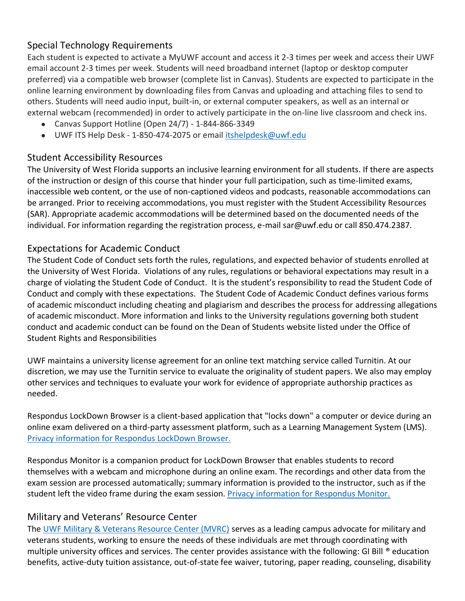## Special Technology Requirements

Each student is expected to activate a MyUWF account and access it 2-3 times per week and access their UWF email account 2-3 times per week. Students will need broadband internet (laptop or desktop computer preferred) via a compatible web browser (complete list in Canvas). Students are expected to participate in the online learning environment by downloading files from Canvas and uploading and attaching files to send to others. Students will need audio input, built-in, or external computer speakers, as well as an internal or external webcam (recommended) in order to actively participate in the on-line live classroom and check ins.

- Canvas Support Hotline (Open 24/7) 1-844-866-3349
- UWF ITS Help Desk 1-850-474-2075 or email [itshelpdesk@uwf.edu](mailto:itshelpdesk@uwf.edu)

## Student Accessibility Resources

The University of West Florida supports an inclusive learning environment for all students. If there are aspects of the instruction or design of this course that hinder your full participation, such as time-limited exams, inaccessible web content, or the use of non-captioned videos and podcasts, reasonable accommodations can be arranged. Prior to receiving accommodations, you must register with the Student Accessibility Resources (SAR). Appropriate academic accommodations will be determined based on the documented needs of the individual. For information regarding the registration process, e-mail sar@uwf.edu or call 850.474.2387.

## Expectations for Academic Conduct

The Student Code of Conduct sets forth the rules, regulations, and expected behavior of students enrolled at the University of West Florida. Violations of any rules, regulations or behavioral expectations may result in a charge of violating the Student Code of Conduct. It is the student's responsibility to read the Student Code of Conduct and comply with these expectations. The Student Code of Academic Conduct defines various forms of academic misconduct including cheating and plagiarism and describes the process for addressing allegations of academic misconduct. More information and links to the University regulations governing both student conduct and academic conduct can be found on the Dean of Students website listed under the Office of Student Rights and Responsibilities

UWF maintains a university license agreement for an online text matching service called Turnitin. At our discretion, we may use the Turnitin service to evaluate the originality of student papers. We also may employ other services and techniques to evaluate your work for evidence of appropriate authorship practices as needed.

Respondus LockDown Browser is a client-based application that "locks down" a computer or device during an online exam delivered on a third-party assessment platform, such as a Learning Management System (LMS). [Privacy information for Respondus LockDown Browser.](https://web.respondus.com/privacy/privacy-additional-monitor/)

Respondus Monitor is a companion product for LockDown Browser that enables students to record themselves with a webcam and microphone during an online exam. The recordings and other data from the exam session are processed automatically; summary information is provided to the instructor, such as if the student left the video frame during the exam session. [Privacy information for Respondus Monitor.](https://web.respondus.com/privacy/privacy-additional-monitor/)

## Military and Veterans' Resource Center

The [UWF Military & Veterans Resource Center \(MVRC\)](https://uwf.edu/academic-affairs/departments/military-veteran-resource-center/) serves as a leading campus advocate for military and veterans students, working to ensure the needs of these individuals are met through coordinating with multiple university offices and services. The center provides assistance with the following: GI Bill ® education benefits, active-duty tuition assistance, out-of-state fee waiver, tutoring, paper reading, counseling, disability